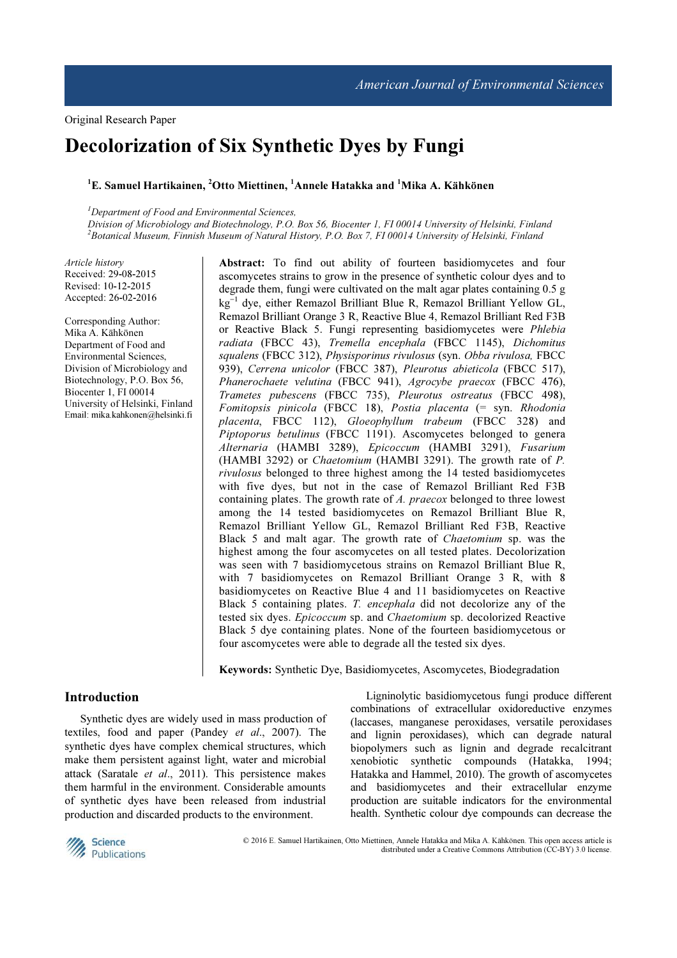# Decolorization of Six Synthetic Dyes by Fungi

## ${}^{1}E$ . Samuel Hartikainen,  ${}^{2}O$ tto Miettinen,  ${}^{1}$ Annele Hatakka and  ${}^{1}$ Mika A. Kähkönen

 $<sup>1</sup>$ Department of Food and Environmental Sciences,</sup>

Division of Microbiology and Biotechnology, P.O. Box 56, Biocenter 1, FI 00014 University of Helsinki, Finland <sup>2</sup>Botanical Museum, Finnish Museum of Natural History, P.O. Box 7, FI 00014 University of Helsinki, Finland

Article history Received: 29-08-2015 Revised: 10-12-2015 Accepted: 26-02-2016

Corresponding Author: Mika A. Kähkönen Department of Food and Environmental Sciences, Division of Microbiology and Biotechnology, P.O. Box 56, Biocenter 1, FI 00014 University of Helsinki, Finland Email: mika.kahkonen@helsinki.fi Abstract: To find out ability of fourteen basidiomycetes and four ascomycetes strains to grow in the presence of synthetic colour dyes and to degrade them, fungi were cultivated on the malt agar plates containing 0.5 g kg<sup>−</sup><sup>1</sup> dye, either Remazol Brilliant Blue R, Remazol Brilliant Yellow GL, Remazol Brilliant Orange 3 R, Reactive Blue 4, Remazol Brilliant Red F3B or Reactive Black 5. Fungi representing basidiomycetes were Phlebia radiata (FBCC 43), Tremella encephala (FBCC 1145), Dichomitus squalens (FBCC 312), Physisporinus rivulosus (syn. Obba rivulosa, FBCC 939), Cerrena unicolor (FBCC 387), Pleurotus abieticola (FBCC 517), Phanerochaete velutina (FBCC 941), Agrocybe praecox (FBCC 476), Trametes pubescens (FBCC 735), Pleurotus ostreatus (FBCC 498),  $Fomitopsis$  pinicola (FBCC 18), Postia placenta (= syn. Rhodonia placenta, FBCC 112), Gloeophyllum trabeum (FBCC 328) and Piptoporus betulinus (FBCC 1191). Ascomycetes belonged to genera Alternaria (HAMBI 3289), Epicoccum (HAMBI 3291), Fusarium (HAMBI 3292) or Chaetomium (HAMBI 3291). The growth rate of P. rivulosus belonged to three highest among the 14 tested basidiomycetes with five dyes, but not in the case of Remazol Brilliant Red F3B containing plates. The growth rate of A. praecox belonged to three lowest among the 14 tested basidiomycetes on Remazol Brilliant Blue R, Remazol Brilliant Yellow GL, Remazol Brilliant Red F3B, Reactive Black 5 and malt agar. The growth rate of Chaetomium sp. was the highest among the four ascomycetes on all tested plates. Decolorization was seen with 7 basidiomycetous strains on Remazol Brilliant Blue R, with 7 basidiomycetes on Remazol Brilliant Orange 3 R, with 8 basidiomycetes on Reactive Blue 4 and 11 basidiomycetes on Reactive Black 5 containing plates. T. encephala did not decolorize any of the tested six dyes. Epicoccum sp. and Chaetomium sp. decolorized Reactive Black 5 dye containing plates. None of the fourteen basidiomycetous or four ascomycetes were able to degrade all the tested six dyes.

Keywords: Synthetic Dye, Basidiomycetes, Ascomycetes, Biodegradation

## Introduction

Synthetic dyes are widely used in mass production of textiles, food and paper (Pandey et al., 2007). The synthetic dyes have complex chemical structures, which make them persistent against light, water and microbial attack (Saratale et al., 2011). This persistence makes them harmful in the environment. Considerable amounts of synthetic dyes have been released from industrial production and discarded products to the environment.

Ligninolytic basidiomycetous fungi produce different combinations of extracellular oxidoreductive enzymes (laccases, manganese peroxidases, versatile peroxidases and lignin peroxidases), which can degrade natural biopolymers such as lignin and degrade recalcitrant xenobiotic synthetic compounds (Hatakka, 1994; Hatakka and Hammel, 2010). The growth of ascomycetes and basidiomycetes and their extracellular enzyme production are suitable indicators for the environmental health. Synthetic colour dye compounds can decrease the



 © 2016 E. Samuel Hartikainen, Otto Miettinen, Annele Hatakka and Mika A. Kähkönen. This open access article is distributed under a Creative Commons Attribution (CC-BY) 3.0 license.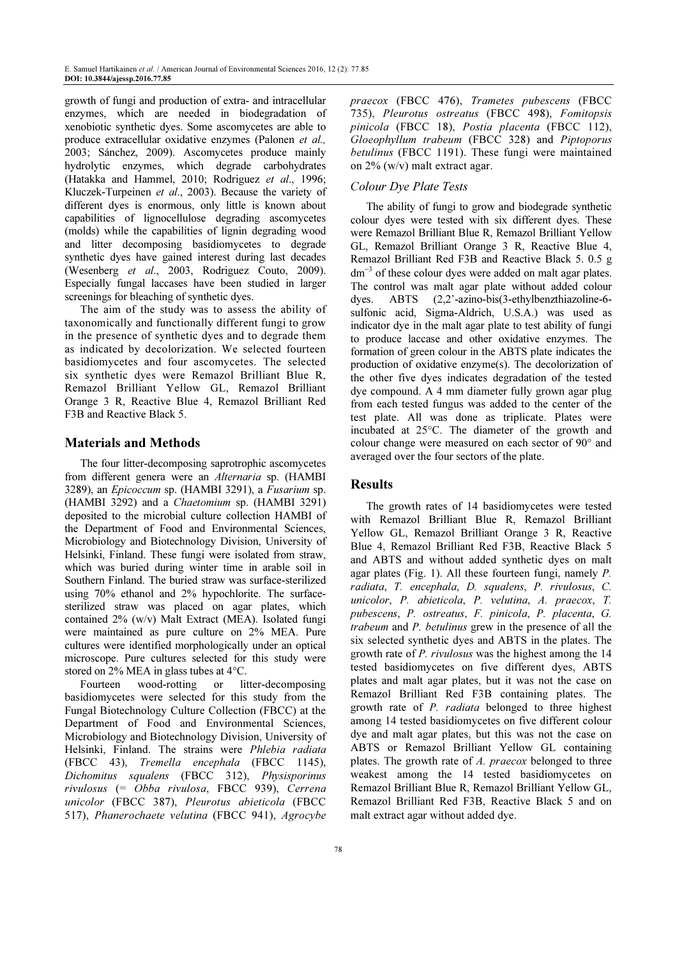growth of fungi and production of extra- and intracellular enzymes, which are needed in biodegradation of xenobiotic synthetic dyes. Some ascomycetes are able to produce extracellular oxidative enzymes (Palonen et al., 2003; Sánchez, 2009). Ascomycetes produce mainly hydrolytic enzymes, which degrade carbohydrates (Hatakka and Hammel, 2010; Rodriguez et al., 1996; Kluczek-Turpeinen et al., 2003). Because the variety of different dyes is enormous, only little is known about capabilities of lignocellulose degrading ascomycetes (molds) while the capabilities of lignin degrading wood and litter decomposing basidiomycetes to degrade synthetic dyes have gained interest during last decades (Wesenberg et al., 2003, Rodriguez Couto, 2009). Especially fungal laccases have been studied in larger screenings for bleaching of synthetic dyes.

The aim of the study was to assess the ability of taxonomically and functionally different fungi to grow in the presence of synthetic dyes and to degrade them as indicated by decolorization. We selected fourteen basidiomycetes and four ascomycetes. The selected six synthetic dyes were Remazol Brilliant Blue R, Remazol Brilliant Yellow GL, Remazol Brilliant Orange 3 R, Reactive Blue 4, Remazol Brilliant Red F3B and Reactive Black 5.

## Materials and Methods

The four litter-decomposing saprotrophic ascomycetes from different genera were an Alternaria sp. (HAMBI 3289), an Epicoccum sp. (HAMBI 3291), a Fusarium sp. (HAMBI 3292) and a Chaetomium sp. (HAMBI 3291) deposited to the microbial culture collection HAMBI of the Department of Food and Environmental Sciences, Microbiology and Biotechnology Division, University of Helsinki, Finland. These fungi were isolated from straw, which was buried during winter time in arable soil in Southern Finland. The buried straw was surface-sterilized using 70% ethanol and 2% hypochlorite. The surfacesterilized straw was placed on agar plates, which contained 2% (w/v) Malt Extract (MEA). Isolated fungi were maintained as pure culture on 2% MEA. Pure cultures were identified morphologically under an optical microscope. Pure cultures selected for this study were stored on 2% MEA in glass tubes at 4°C.

Fourteen wood-rotting or litter-decomposing basidiomycetes were selected for this study from the Fungal Biotechnology Culture Collection (FBCC) at the Department of Food and Environmental Sciences, Microbiology and Biotechnology Division, University of Helsinki, Finland. The strains were Phlebia radiata (FBCC 43), Tremella encephala (FBCC 1145), Dichomitus squalens (FBCC 312), Physisporinus rivulosus (= Obba rivulosa, FBCC 939), Cerrena unicolor (FBCC 387), Pleurotus abieticola (FBCC 517), Phanerochaete velutina (FBCC 941), Agrocybe

praecox (FBCC 476), Trametes pubescens (FBCC 735), Pleurotus ostreatus (FBCC 498), Fomitopsis pinicola (FBCC 18), Postia placenta (FBCC 112), Gloeophyllum trabeum (FBCC 328) and Piptoporus betulinus (FBCC 1191). These fungi were maintained on 2% (w/v) malt extract agar.

## Colour Dye Plate Tests

The ability of fungi to grow and biodegrade synthetic colour dyes were tested with six different dyes. These were Remazol Brilliant Blue R, Remazol Brilliant Yellow GL, Remazol Brilliant Orange 3 R, Reactive Blue 4, Remazol Brilliant Red F3B and Reactive Black 5. 0.5 g dm<sup>−</sup><sup>3</sup> of these colour dyes were added on malt agar plates. The control was malt agar plate without added colour dyes. ABTS (2,2'-azino-bis(3-ethylbenzthiazoline-6 sulfonic acid, Sigma-Aldrich, U.S.A.) was used as indicator dye in the malt agar plate to test ability of fungi to produce laccase and other oxidative enzymes. The formation of green colour in the ABTS plate indicates the production of oxidative enzyme(s). The decolorization of the other five dyes indicates degradation of the tested dye compound. A 4 mm diameter fully grown agar plug from each tested fungus was added to the center of the test plate. All was done as triplicate. Plates were incubated at 25°C. The diameter of the growth and colour change were measured on each sector of 90° and averaged over the four sectors of the plate.

## Results

The growth rates of 14 basidiomycetes were tested with Remazol Brilliant Blue R, Remazol Brilliant Yellow GL, Remazol Brilliant Orange 3 R, Reactive Blue 4, Remazol Brilliant Red F3B, Reactive Black 5 and ABTS and without added synthetic dyes on malt agar plates (Fig. 1). All these fourteen fungi, namely P. radiata, T. encephala, D. squalens, P. rivulosus, C. unicolor, P. abieticola, P. velutina, A. praecox, T. pubescens, P. ostreatus, F. pinicola, P. placenta, G. trabeum and P. betulinus grew in the presence of all the six selected synthetic dyes and ABTS in the plates. The growth rate of P. rivulosus was the highest among the 14 tested basidiomycetes on five different dyes, ABTS plates and malt agar plates, but it was not the case on Remazol Brilliant Red F3B containing plates. The growth rate of P. radiata belonged to three highest among 14 tested basidiomycetes on five different colour dye and malt agar plates, but this was not the case on ABTS or Remazol Brilliant Yellow GL containing plates. The growth rate of A. praecox belonged to three weakest among the 14 tested basidiomycetes on Remazol Brilliant Blue R, Remazol Brilliant Yellow GL, Remazol Brilliant Red F3B, Reactive Black 5 and on malt extract agar without added dye.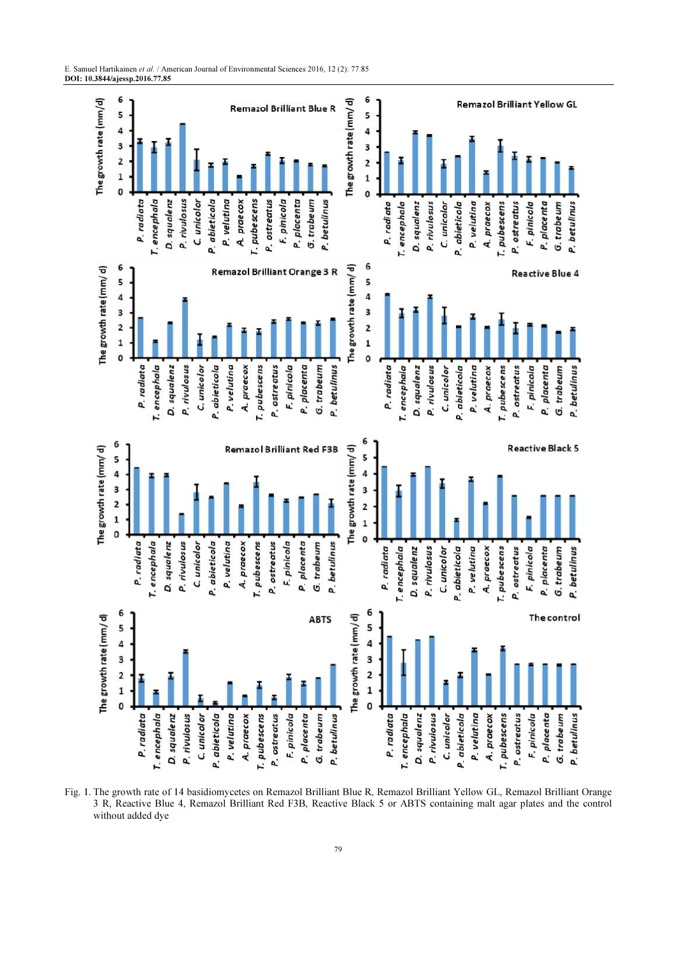

Fig. 1. The growth rate of 14 basidiomycetes on Remazol Brilliant Blue R, Remazol Brilliant Yellow GL, Remazol Brilliant Orange 3 R, Reactive Blue 4, Remazol Brilliant Red F3B, Reactive Black 5 or ABTS containing malt agar plates and the control without added dye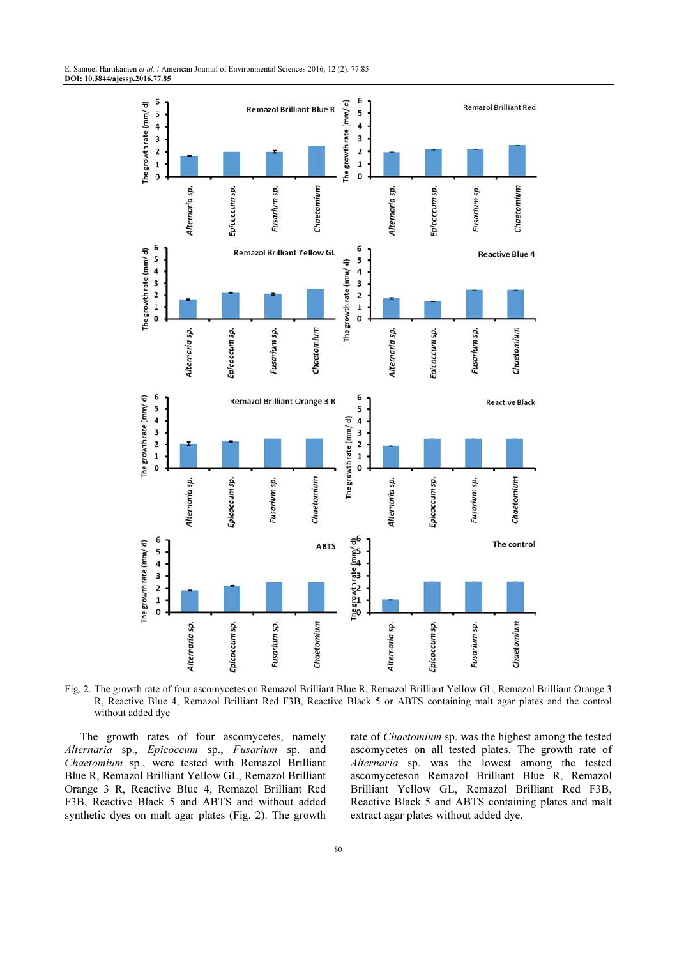

Fig. 2. The growth rate of four ascomycetes on Remazol Brilliant Blue R, Remazol Brilliant Yellow GL, Remazol Brilliant Orange 3 R, Reactive Blue 4, Remazol Brilliant Red F3B, Reactive Black 5 or ABTS containing malt agar plates and the control without added dye

The growth rates of four ascomycetes, namely Alternaria sp., Epicoccum sp., Fusarium sp. and Chaetomium sp., were tested with Remazol Brilliant Blue R, Remazol Brilliant Yellow GL, Remazol Brilliant Orange 3 R, Reactive Blue 4, Remazol Brilliant Red F3B, Reactive Black 5 and ABTS and without added synthetic dyes on malt agar plates (Fig. 2). The growth rate of Chaetomium sp. was the highest among the tested ascomycetes on all tested plates. The growth rate of Alternaria sp. was the lowest among the tested ascomyceteson Remazol Brilliant Blue R, Remazol Brilliant Yellow GL, Remazol Brilliant Red F3B, Reactive Black 5 and ABTS containing plates and malt extract agar plates without added dye.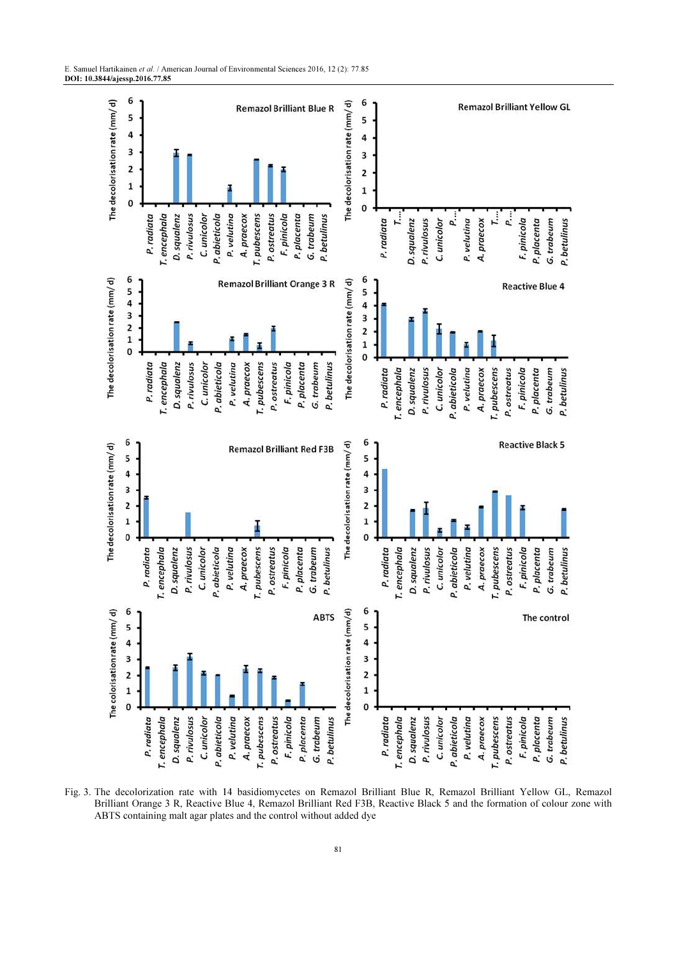

Fig. 3. The decolorization rate with 14 basidiomycetes on Remazol Brilliant Blue R, Remazol Brilliant Yellow GL, Remazol Brilliant Orange 3 R, Reactive Blue 4, Remazol Brilliant Red F3B, Reactive Black 5 and the formation of colour zone with ABTS containing malt agar plates and the control without added dye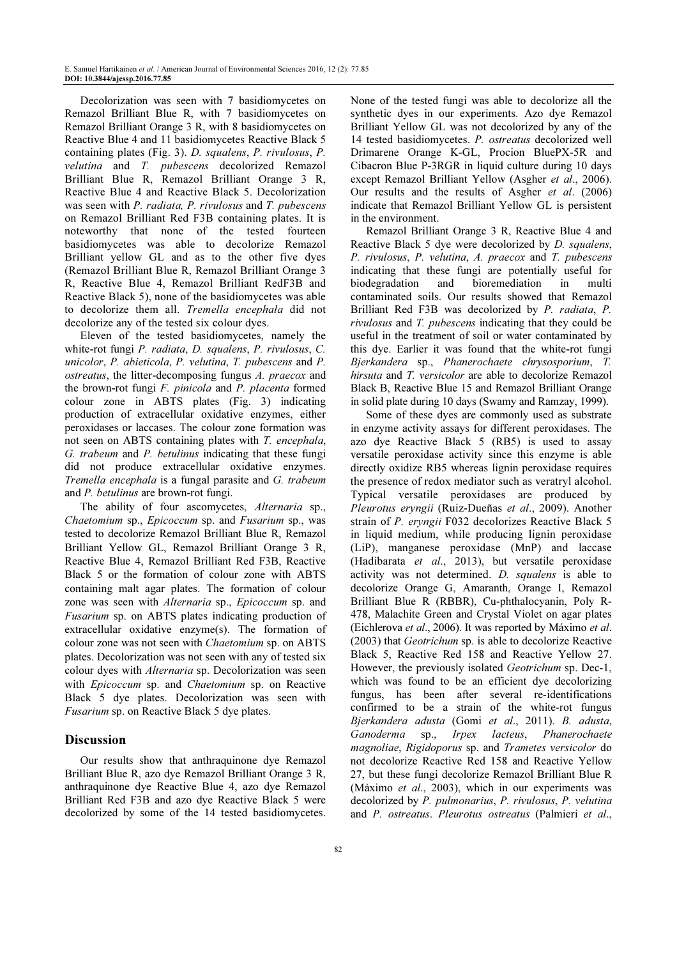Decolorization was seen with 7 basidiomycetes on Remazol Brilliant Blue R, with 7 basidiomycetes on Remazol Brilliant Orange 3 R, with 8 basidiomycetes on Reactive Blue 4 and 11 basidiomycetes Reactive Black 5 containing plates (Fig. 3). D. squalens, P. rivulosus, P. velutina and T. pubescens decolorized Remazol Brilliant Blue R, Remazol Brilliant Orange 3 R, Reactive Blue 4 and Reactive Black 5. Decolorization was seen with P. radiata, P. rivulosus and T. pubescens on Remazol Brilliant Red F3B containing plates. It is noteworthy that none of the tested fourteen basidiomycetes was able to decolorize Remazol Brilliant yellow GL and as to the other five dyes (Remazol Brilliant Blue R, Remazol Brilliant Orange 3 R, Reactive Blue 4, Remazol Brilliant RedF3B and Reactive Black 5), none of the basidiomycetes was able to decolorize them all. Tremella encephala did not decolorize any of the tested six colour dyes.

Eleven of the tested basidiomycetes, namely the white-rot fungi P. radiata, D. squalens, P. rivulosus, C. unicolor, P. abieticola, P. velutina, T. pubescens and P. ostreatus, the litter-decomposing fungus A. praecox and the brown-rot fungi F. pinicola and P. placenta formed colour zone in ABTS plates (Fig. 3) indicating production of extracellular oxidative enzymes, either peroxidases or laccases. The colour zone formation was not seen on ABTS containing plates with T. encephala, G. trabeum and P. betulinus indicating that these fungi did not produce extracellular oxidative enzymes. Tremella encephala is a fungal parasite and G. trabeum and P. betulinus are brown-rot fungi.

The ability of four ascomycetes, Alternaria sp., Chaetomium sp., Epicoccum sp. and Fusarium sp., was tested to decolorize Remazol Brilliant Blue R, Remazol Brilliant Yellow GL, Remazol Brilliant Orange 3 R, Reactive Blue 4, Remazol Brilliant Red F3B, Reactive Black 5 or the formation of colour zone with ABTS containing malt agar plates. The formation of colour zone was seen with Alternaria sp., Epicoccum sp. and Fusarium sp. on ABTS plates indicating production of extracellular oxidative enzyme(s). The formation of colour zone was not seen with Chaetomium sp. on ABTS plates. Decolorization was not seen with any of tested six colour dyes with Alternaria sp. Decolorization was seen with Epicoccum sp. and Chaetomium sp. on Reactive Black 5 dye plates. Decolorization was seen with Fusarium sp. on Reactive Black 5 dye plates.

#### Discussion

Our results show that anthraquinone dye Remazol Brilliant Blue R, azo dye Remazol Brilliant Orange 3 R, anthraquinone dye Reactive Blue 4, azo dye Remazol Brilliant Red F3B and azo dye Reactive Black 5 were decolorized by some of the 14 tested basidiomycetes. None of the tested fungi was able to decolorize all the synthetic dyes in our experiments. Azo dye Remazol Brilliant Yellow GL was not decolorized by any of the 14 tested basidiomycetes. P. ostreatus decolorized well Drimarene Orange K-GL, Procion BluePX-5R and Cibacron Blue P-3RGR in liquid culture during 10 days except Remazol Brilliant Yellow (Asgher et al., 2006). Our results and the results of Asgher et al. (2006) indicate that Remazol Brilliant Yellow GL is persistent in the environment.

Remazol Brilliant Orange 3 R, Reactive Blue 4 and Reactive Black 5 dye were decolorized by D. squalens, P. rivulosus, P. velutina, A. praecox and T. pubescens indicating that these fungi are potentially useful for biodegradation and bioremediation in multi contaminated soils. Our results showed that Remazol Brilliant Red F3B was decolorized by P. radiata, P. rivulosus and T. pubescens indicating that they could be useful in the treatment of soil or water contaminated by this dye. Earlier it was found that the white-rot fungi Bjerkandera sp., Phanerochaete chrysosporium, T. hirsuta and T. versicolor are able to decolorize Remazol Black B, Reactive Blue 15 and Remazol Brilliant Orange in solid plate during 10 days (Swamy and Ramzay, 1999).

Some of these dyes are commonly used as substrate in enzyme activity assays for different peroxidases. The azo dye Reactive Black 5 (RB5) is used to assay versatile peroxidase activity since this enzyme is able directly oxidize RB5 whereas lignin peroxidase requires the presence of redox mediator such as veratryl alcohol. Typical versatile peroxidases are produced by Pleurotus eryngii (Ruiz-Dueñas et al., 2009). Another strain of P. eryngii F032 decolorizes Reactive Black 5 in liquid medium, while producing lignin peroxidase (LiP), manganese peroxidase (MnP) and laccase (Hadibarata et al., 2013), but versatile peroxidase activity was not determined. D. squalens is able to decolorize Orange G, Amaranth, Orange I, Remazol Brilliant Blue R (RBBR), Cu-phthalocyanin, Poly R-478, Malachite Green and Crystal Violet on agar plates (Eichlerova et al., 2006). It was reported by Máximo et al. (2003) that Geotrichum sp. is able to decolorize Reactive Black 5, Reactive Red 158 and Reactive Yellow 27. However, the previously isolated Geotrichum sp. Dec-1, which was found to be an efficient dye decolorizing fungus, has been after several re-identifications confirmed to be a strain of the white-rot fungus Bjerkandera adusta (Gomi et al., 2011). B. adusta, Ganoderma sp., Irpex lacteus, Phanerochaete magnoliae, Rigidoporus sp. and Trametes versicolor do not decolorize Reactive Red 158 and Reactive Yellow 27, but these fungi decolorize Remazol Brilliant Blue R (Máximo et al., 2003), which in our experiments was decolorized by P. pulmonarius, P. rivulosus, P. velutina and P. ostreatus. Pleurotus ostreatus (Palmieri et al.,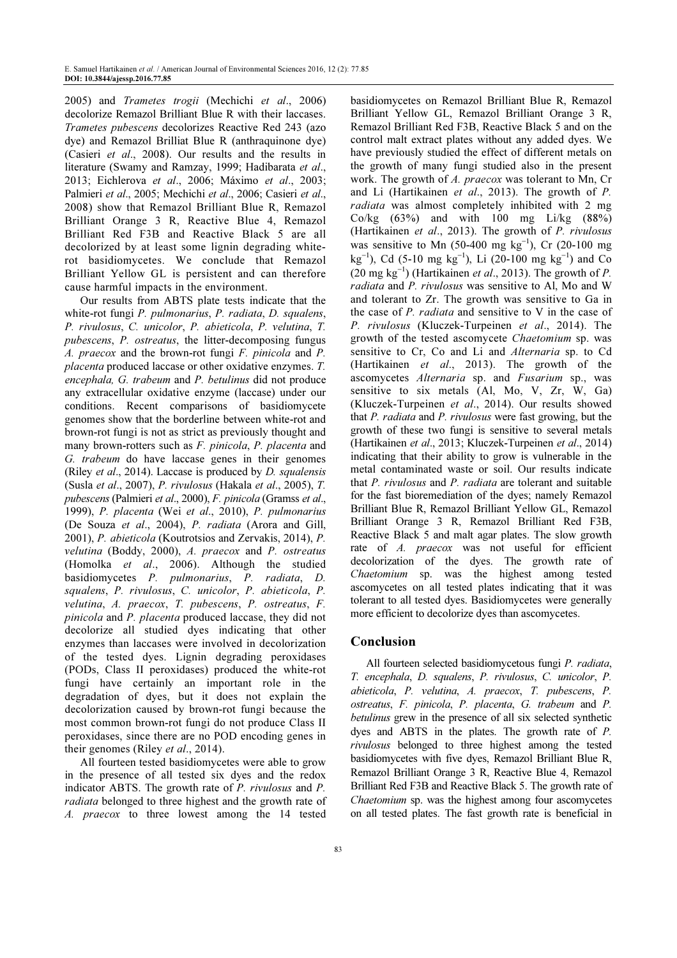2005) and Trametes trogii (Mechichi et al., 2006) decolorize Remazol Brilliant Blue R with their laccases. Trametes pubescens decolorizes Reactive Red 243 (azo dye) and Remazol Brilliat Blue R (anthraquinone dye) (Casieri et al., 2008). Our results and the results in literature (Swamy and Ramzay, 1999; Hadibarata et al., 2013; Eichlerova et al., 2006; Máximo et al., 2003; Palmieri et al., 2005; Mechichi et al., 2006; Casieri et al., 2008) show that Remazol Brilliant Blue R, Remazol Brilliant Orange 3 R, Reactive Blue 4, Remazol Brilliant Red F3B and Reactive Black 5 are all decolorized by at least some lignin degrading whiterot basidiomycetes. We conclude that Remazol Brilliant Yellow GL is persistent and can therefore cause harmful impacts in the environment.

Our results from ABTS plate tests indicate that the white-rot fungi P. pulmonarius, P. radiata, D. squalens, P. rivulosus, C. unicolor, P. abieticola, P. velutina, T. pubescens, P. ostreatus, the litter-decomposing fungus A. praecox and the brown-rot fungi F. pinicola and P. placenta produced laccase or other oxidative enzymes. T. encephala, G. trabeum and P. betulinus did not produce any extracellular oxidative enzyme (laccase) under our conditions. Recent comparisons of basidiomycete genomes show that the borderline between white-rot and brown-rot fungi is not as strict as previously thought and many brown-rotters such as F. pinicola, P. placenta and G. trabeum do have laccase genes in their genomes (Riley *et al.*, 2014). Laccase is produced by  $D$ . *squalensis* (Susla et al., 2007), P. rivulosus (Hakala et al., 2005), T. pubescens (Palmieri et al., 2000), F. pinicola (Gramss et al., 1999), P. placenta (Wei et al., 2010), P. pulmonarius (De Souza et al., 2004), P. radiata (Arora and Gill, 2001), P. abieticola (Koutrotsios and Zervakis, 2014), P. velutina (Boddy, 2000), A. praecox and P. ostreatus (Homolka et al., 2006). Although the studied basidiomycetes P. pulmonarius, P. radiata, D. squalens, P. rivulosus, C. unicolor, P. abieticola, P. velutina, A. praecox, T. pubescens, P. ostreatus, F. pinicola and P. placenta produced laccase, they did not decolorize all studied dyes indicating that other enzymes than laccases were involved in decolorization of the tested dyes. Lignin degrading peroxidases (PODs, Class II peroxidases) produced the white-rot fungi have certainly an important role in the degradation of dyes, but it does not explain the decolorization caused by brown-rot fungi because the most common brown-rot fungi do not produce Class II peroxidases, since there are no POD encoding genes in their genomes (Riley *et al.*, 2014).

All fourteen tested basidiomycetes were able to grow in the presence of all tested six dyes and the redox indicator ABTS. The growth rate of P. rivulosus and P. radiata belonged to three highest and the growth rate of A. praecox to three lowest among the 14 tested basidiomycetes on Remazol Brilliant Blue R, Remazol Brilliant Yellow GL, Remazol Brilliant Orange 3 R, Remazol Brilliant Red F3B, Reactive Black 5 and on the control malt extract plates without any added dyes. We have previously studied the effect of different metals on the growth of many fungi studied also in the present work. The growth of A. praecox was tolerant to Mn, Cr and Li (Hartikainen et al., 2013). The growth of P. radiata was almost completely inhibited with 2 mg Co/kg  $(63\%)$  and with 100 mg Li/kg  $(88\%)$ (Hartikainen et al., 2013). The growth of P. rivulosus was sensitive to Mn (50-400 mg  $kg^{-1}$ ), Cr (20-100 mg  $\text{kg}^{-1}$ ), Cd (5-10 mg kg<sup>-1</sup>), Li (20-100 mg kg<sup>-1</sup>) and Co  $(20 \text{ mg kg}^{-1})$  (Hartikainen et al., 2013). The growth of P. radiata and P. rivulosus was sensitive to Al, Mo and W and tolerant to Zr. The growth was sensitive to Ga in the case of  $P$ . *radiata* and sensitive to  $V$  in the case of P. rivulosus (Kluczek-Turpeinen et al., 2014). The growth of the tested ascomycete Chaetomium sp. was sensitive to Cr, Co and Li and Alternaria sp. to Cd (Hartikainen et al., 2013). The growth of the ascomycetes Alternaria sp. and Fusarium sp., was sensitive to six metals (Al, Mo, V, Zr, W, Ga) (Kluczek-Turpeinen et al., 2014). Our results showed that P. radiata and P. rivulosus were fast growing, but the growth of these two fungi is sensitive to several metals (Hartikainen et al., 2013; Kluczek-Turpeinen et al., 2014) indicating that their ability to grow is vulnerable in the metal contaminated waste or soil. Our results indicate that P. rivulosus and P. radiata are tolerant and suitable for the fast bioremediation of the dyes; namely Remazol Brilliant Blue R, Remazol Brilliant Yellow GL, Remazol Brilliant Orange 3 R, Remazol Brilliant Red F3B, Reactive Black 5 and malt agar plates. The slow growth rate of A. praecox was not useful for efficient decolorization of the dyes. The growth rate of Chaetomium sp. was the highest among tested ascomycetes on all tested plates indicating that it was tolerant to all tested dyes. Basidiomycetes were generally more efficient to decolorize dyes than ascomycetes.

## Conclusion

All fourteen selected basidiomycetous fungi P. radiata, T. encephala, D. squalens, P. rivulosus, C. unicolor, P. abieticola, P. velutina, A. praecox, T. pubescens, P. ostreatus, F. pinicola, P. placenta, G. trabeum and P. betulinus grew in the presence of all six selected synthetic dyes and ABTS in the plates. The growth rate of P. rivulosus belonged to three highest among the tested basidiomycetes with five dyes, Remazol Brilliant Blue R, Remazol Brilliant Orange 3 R, Reactive Blue 4, Remazol Brilliant Red F3B and Reactive Black 5. The growth rate of Chaetomium sp. was the highest among four ascomycetes on all tested plates. The fast growth rate is beneficial in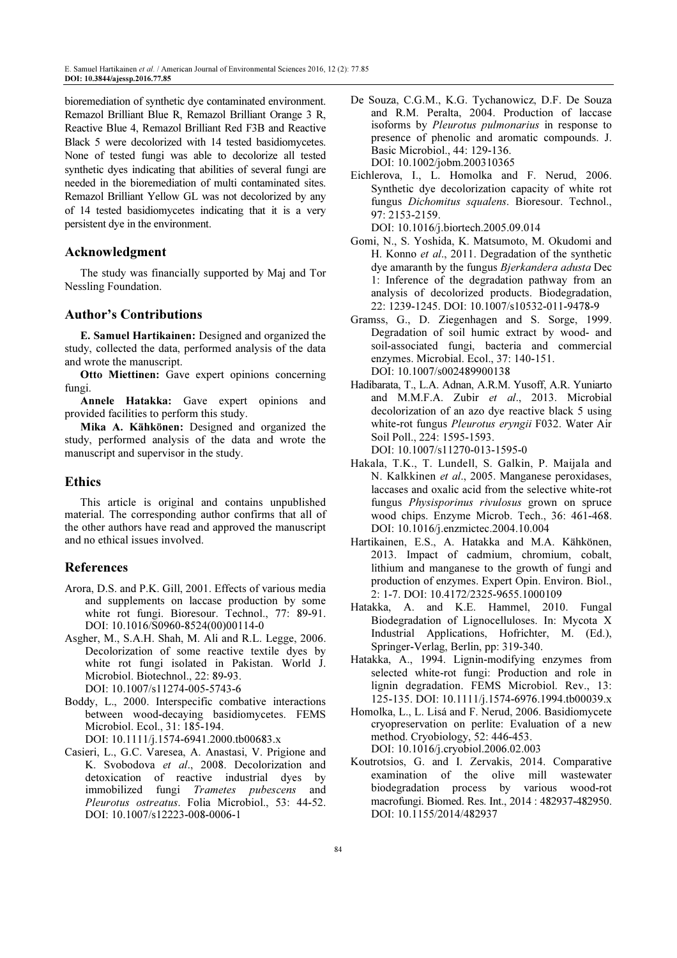bioremediation of synthetic dye contaminated environment. Remazol Brilliant Blue R, Remazol Brilliant Orange 3 R, Reactive Blue 4, Remazol Brilliant Red F3B and Reactive Black 5 were decolorized with 14 tested basidiomycetes. None of tested fungi was able to decolorize all tested synthetic dyes indicating that abilities of several fungi are needed in the bioremediation of multi contaminated sites. Remazol Brilliant Yellow GL was not decolorized by any of 14 tested basidiomycetes indicating that it is a very persistent dye in the environment.

## Acknowledgment

The study was financially supported by Maj and Tor Nessling Foundation.

#### Author's Contributions

E. Samuel Hartikainen: Designed and organized the study, collected the data, performed analysis of the data and wrote the manuscript.

Otto Miettinen: Gave expert opinions concerning fungi.

Annele Hatakka: Gave expert opinions and provided facilities to perform this study.

Mika A. Kähkönen: Designed and organized the study, performed analysis of the data and wrote the manuscript and supervisor in the study.

#### Ethics

This article is original and contains unpublished material. The corresponding author confirms that all of the other authors have read and approved the manuscript and no ethical issues involved.

## References

- Arora, D.S. and P.K. Gill, 2001. Effects of various media and supplements on laccase production by some white rot fungi. Bioresour. Technol., 77: 89-91. DOI: 10.1016/S0960-8524(00)00114-0
- Asgher, M., S.A.H. Shah, M. Ali and R.L. Legge, 2006. Decolorization of some reactive textile dyes by white rot fungi isolated in Pakistan. World J. Microbiol. Biotechnol., 22: 89-93. DOI: 10.1007/s11274-005-5743-6
- Boddy, L., 2000. Interspecific combative interactions between wood-decaying basidiomycetes. FEMS Microbiol. Ecol., 31: 185-194.

DOI: 10.1111/j.1574-6941.2000.tb00683.x

Casieri, L., G.C. Varesea, A. Anastasi, V. Prigione and K. Svobodova et al., 2008. Decolorization and detoxication of reactive industrial dyes by immobilized fungi Trametes pubescens and Pleurotus ostreatus. Folia Microbiol., 53: 44-52. DOI: 10.1007/s12223-008-0006-1

- De Souza, C.G.M., K.G. Tychanowicz, D.F. De Souza and R.M. Peralta, 2004. Production of laccase isoforms by Pleurotus pulmonarius in response to presence of phenolic and aromatic compounds. J. Basic Microbiol., 44: 129-136. DOI: 10.1002/jobm.200310365
- Eichlerova, I., L. Homolka and F. Nerud, 2006. Synthetic dye decolorization capacity of white rot fungus Dichomitus squalens. Bioresour. Technol., 97: 2153-2159.

DOI: 10.1016/j.biortech.2005.09.014

- Gomi, N., S. Yoshida, K. Matsumoto, M. Okudomi and H. Konno et al., 2011. Degradation of the synthetic dye amaranth by the fungus Bjerkandera adusta Dec 1: Inference of the degradation pathway from an analysis of decolorized products. Biodegradation, 22: 1239-1245. DOI: 10.1007/s10532-011-9478-9
- Gramss, G., D. Ziegenhagen and S. Sorge, 1999. Degradation of soil humic extract by wood- and soil-associated fungi, bacteria and commercial enzymes. Microbial. Ecol., 37: 140-151. DOI: 10.1007/s002489900138
- Hadibarata, T., L.A. Adnan, A.R.M. Yusoff, A.R. Yuniarto and M.M.F.A. Zubir et al., 2013. Microbial decolorization of an azo dye reactive black 5 using white-rot fungus Pleurotus eryngii F032. Water Air Soil Poll., 224: 1595-1593. DOI: 10.1007/s11270-013-1595-0
- Hakala, T.K., T. Lundell, S. Galkin, P. Maijala and N. Kalkkinen et al., 2005. Manganese peroxidases, laccases and oxalic acid from the selective white-rot fungus Physisporinus rivulosus grown on spruce wood chips. Enzyme Microb. Tech., 36: 461-468. DOI: 10.1016/j.enzmictec.2004.10.004
- Hartikainen, E.S., A. Hatakka and M.A. Kähkönen, 2013. Impact of cadmium, chromium, cobalt, lithium and manganese to the growth of fungi and production of enzymes. Expert Opin. Environ. Biol., 2: 1-7. DOI: 10.4172/2325-9655.1000109
- Hatakka, A. and K.E. Hammel, 2010. Fungal Biodegradation of Lignocelluloses. In: Mycota X Industrial Applications, Hofrichter, M. (Ed.), Springer-Verlag, Berlin, pp: 319-340.
- Hatakka, A., 1994. Lignin-modifying enzymes from selected white-rot fungi: Production and role in lignin degradation. FEMS Microbiol. Rev., 13: 125-135. DOI: 10.1111/j.1574-6976.1994.tb00039.x
- Homolka, L., L. Lisá and F. Nerud, 2006. Basidiomycete cryopreservation on perlite: Evaluation of a new method. Cryobiology, 52: 446-453. DOI: 10.1016/j.cryobiol.2006.02.003
- Koutrotsios, G. and I. Zervakis, 2014. Comparative examination of the olive mill wastewater biodegradation process by various wood-rot macrofungi. Biomed. Res. Int., 2014 : 482937-482950. DOI: 10.1155/2014/482937